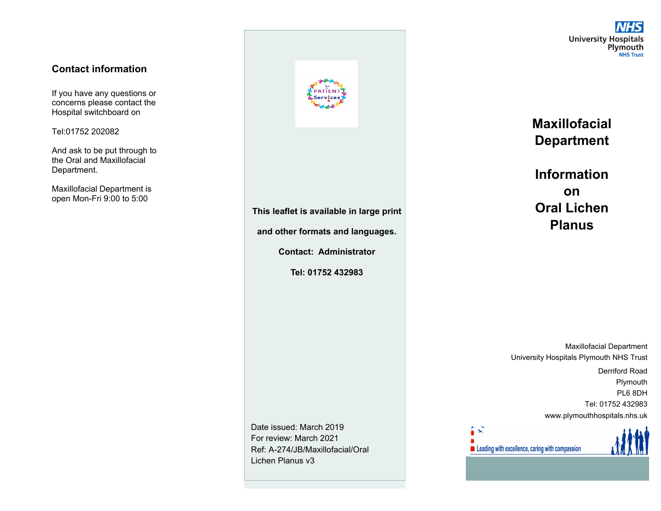#### **Contact information**

If you have any questions or concerns please contact the Hospital switchboard on

Tel:01752 202082

And ask to be put through to the Oral and Maxillofacial Department.

Maxillofacial Department is open Mon-Fri 9:00 to 5:00



**This leaflet is available in large print** 

**and other formats and languages.** 

**Contact: Administrator** 

**Tel: 01752 432983** 

Date issued: March 2019 For review: March 2021 Ref: A-274/JB/Maxillofacial/Oral Lichen Planus v3

**University Hospitals**<br>Plymouth **NHS Trust** 

**Maxillofacial Department** 

**Information on Oral Lichen Planus** 

Maxillofacial Department University Hospitals Plymouth NHS Trust

Derriford Road Plymouth PL6 8DH Tel: 01752 432983 www.plymouthhospitals.nhs.uk

Leading with excellence, caring with compassion

 $\ddot{\sim}$